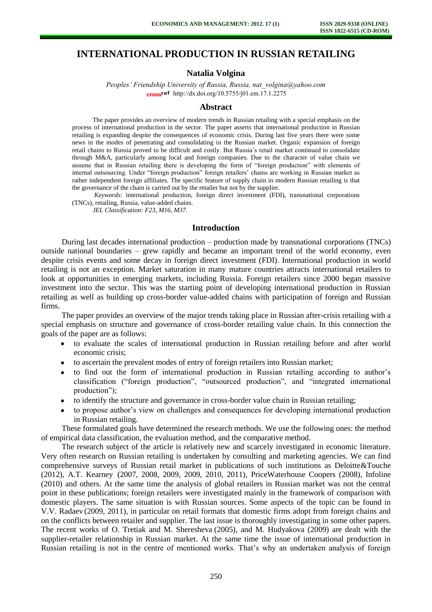# **INTERNATIONAL PRODUCTION IN RUSSIAN RETAILING**

### **Natalia Volgina**

*Peoples' Friendship University of Russia, Russia, nat\_volgina@yahoo.com* cross<sup>ref</sup> [http://dx.doi.org/10.5755/j01.e](http://dx.doi.org/10.5755/j01.em.17.1.2275)m.17.1.2275

#### **Abstract**

The paper provides an overview of modern trends in Russian retailing with a special emphasis on the process of international production in the sector. The paper asserts that international production in Russian retailing is expanding despite the consequences of economic crisis. During last five years there were some news in the modes of penetrating and consolidating in the Russian market. Organic expansion of foreign retail chains to Russia proved to be difficult and costly. But Russia's retail market continued to consolidate through M&A, particularly among local and foreign companies. Due to the character of value chain we assume that in Russian retailing there is developing the form of "foreign production" with elements of internal outsourcing. Under "foreign production" foreign retailers' chains are working in Russian market as rather independent foreign affiliates. The specific feature of supply chain in modern Russian retailing is that the governance of the chain is carried out by the retailer but not by the supplier.

*Keywords*: international production, foreign direct investment (FDI), transnational corporations (TNCs), retailing, Russia, value-added chains.

*JEL Classification: F23, M16, M37.* 

#### **Introduction**

During last decades international production – production made by transnational corporations (TNCs) outside national boundaries – grew rapidly and became an important trend of the world economy, even despite crisis events and some decay in foreign direct investment (FDI). International production in world retailing is not an exception. Market saturation in many mature countries attracts international retailers to look at opportunities in emerging markets, including Russia. Foreign retailers since 2000 began massive investment into the sector. This was the starting point of developing international production in Russian retailing as well as building up cross-border value-added chains with participation of foreign and Russian firms.

The paper provides an overview of the major trends taking place in Russian after-crisis retailing with a special emphasis on structure and governance of cross-border retailing value chain. In this connection the goals of the paper are as follows:

- to evaluate the scales of international production in Russian retailing before and after world  $\bullet$ economic crisis;
- to ascertain the prevalent modes of entry of foreign retailers into Russian market;
- to find out the form of international production in Russian retailing according to author's classification ("foreign production", "outsourced production", and "integrated international production");
- to identify the structure and governance in cross-border value chain in Russian retailing;
- to propose author's view on challenges and consequences for developing international production in Russian retailing.

These formulated goals have determined the research methods. We use the following ones: the method of empirical data classification, the evaluation method, and the comparative method.

The research subject of the article is relatively new and scarcely investigated in economic literature. Very often research on Russian retailing is undertaken by consulting and marketing agencies. We can find comprehensive surveys of Russian retail market in publications of such institutions as Deloitte&Touche (2012), A.T. Kearney (2007, 2008, 2009, 2009, 2010, 2011), PriceWaterhouse Coopers (2008), Infoline (2010) and others. At the same time the analysis of global retailers in Russian market was not the central point in these publications; foreign retailers were investigated mainly in the framework of comparison with domestic players. The same situation is with Russian sources. Some aspects of the topic can be found in V.V. Radaev (2009, 2011), in particular on retail formats that domestic firms adopt from foreign chains and on the conflicts between retailer and supplier. The last issue is thoroughly investigating in some other papers. The recent works of O. Tretiak and M. Sheresheva (2005), and M. Hudyakova (2009) are dealt with the supplier-retailer relationship in Russian market. At the same time the issue of international production in Russian retailing is not in the centre of mentioned works. That's why an undertaken analysis of foreign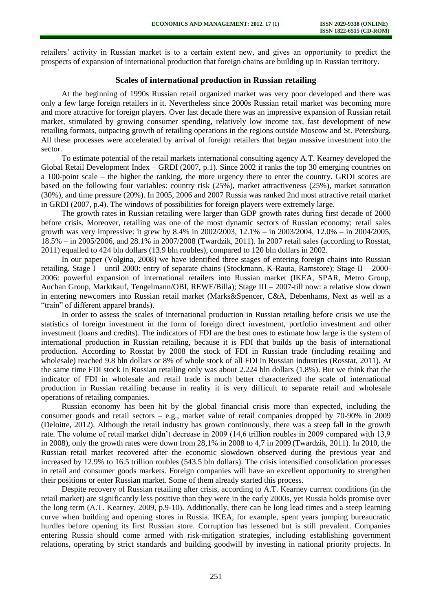retailers' activity in Russian market is to a certain extent new, and gives an opportunity to predict the prospects of expansion of international production that foreign chains are building up in Russian territory.

## **Scales of international production in Russian retailing**

At the beginning of 1990s Russian retail organized market was very poor developed and there was only a few large foreign retailers in it. Nevertheless since 2000s Russian retail market was becoming more and more attractive for foreign players. Over last decade there was an impressive expansion of Russian retail market, stimulated by growing consumer spending, relatively low income tax, fast development of new retailing formats, outpacing growth of retailing operations in the regions outside Moscow and St. Petersburg. All these processes were accelerated by arrival of foreign retailers that began massive investment into the sector.

To estimate potential of the retail markets international consulting agency A.T. Kearney developed the Global Retail Development Index – GRDI (2007, p.1). Since 2002 it ranks the top 30 emerging countries on a 100-point scale – the higher the ranking, the more urgency there to enter the country. GRDI scores are based on the following four variables: country risk (25%), market attractiveness (25%), market saturation (30%), and time pressure (20%). In 2005, 2006 and 2007 Russia was ranked 2nd most attractive retail market in GRDI (2007, p.4). The windows of possibilities for foreign players were extremely large.

The growth rates in Russian retailing were larger than GDP growth rates during first decade of 2000 before crisis. Moreover, retailing was one of the most dynamic sectors of Russian economy; retail sales growth was very impressive: it grew by 8.4% in 2002/2003, 12.1% – in 2003/2004, 12.0% – in 2004/2005, 18.5% – in 2005/2006, and 28.1% in 2007/2008 (Twardzik, 2011). In 2007 retail sales (according to Rosstat, 2011) equalled to 424 bln dollars (13.9 bln roubles), compared to 120 bln dollars in 2002.

In our paper (Volgina, 2008) we have identified three stages of entering foreign chains into Russian retailing. Stage I – until 2000: entry of separate chains (Stockmann, K-Rauta, Ramstore); Stage II – 2000- 2006: powerful expansion of international retailers into Russian market (IKEA, SPAR, Metro Group, Auchan Group, Marktkauf, Tengelmann/OBI, REWE/Billa); Stage III – 2007-till now: a relative slow down in entering newcomers into Russian retail market (Marks&Spencer, C&A, Debenhams, Next as well as a "train" of different apparel brands).

In order to assess the scales of international production in Russian retailing before crisis we use the statistics of foreign investment in the form of foreign direct investment, portfolio investment and other investment (loans and credits). The indicators of FDI are the best ones to estimate how large is the system of international production in Russian retailing, because it is FDI that builds up the basis of international production. According to Rosstat by 2008 the stock of FDI in Russian trade (including retailing and wholesale) reached 9.8 bln dollars or 8% of whole stock of all FDI in Russian industries (Rosstat, 2011). At the same time FDI stock in Russian retailing only was about 2.224 bln dollars (1.8%). But we think that the indicator of FDI in wholesale and retail trade is much better characterized the scale of international production in Russian retailing because in reality it is very difficult to separate retail and wholesale operations of retailing companies.

Russian economy has been hit by the global financial crisis more than expected, including the consumer goods and retail sectors  $-$  e.g., market value of retail companies dropped by 70-90% in 2009 (Deloitte, 2012). Although the retail industry has grown continuously, there was a steep fall in the growth rate. The volume of retail market didn't decrease in 2009 (14,6 trillion roubles in 2009 compared with 13,9 in 2008), only the growth rates were down from 28,1% in 2008 to 4,7 in 2009 (Twardzik, 2011). In 2010, the Russian retail market recovered after the economic slowdown observed during the previous year and increased by 12.9% to 16.5 trillion roubles (543.5 bln dollars). The crisis intensified consolidation processes in retail and consumer goods markets. Foreign companies will have an excellent opportunity to strengthen their positions or enter Russian market. Some of them already started this process.

Despite recovery of Russian retailing after crisis, according to A.T. Kearney current conditions (in the retail market) are significantly less positive than they were in the early 2000s, yet Russia holds promise over the long term (A.T. Kearney, 2009, p.9-10). Additionally, there can be long lead times and a steep learning curve when building and opening stores in Russia. IKEA, for example, spent years jumping bureaucratic hurdles before opening its first Russian store. Corruption has lessened but is still prevalent. Companies entering Russia should come armed with risk-mitigation strategies, including establishing government relations, operating by strict standards and building goodwill by investing in national priority projects. In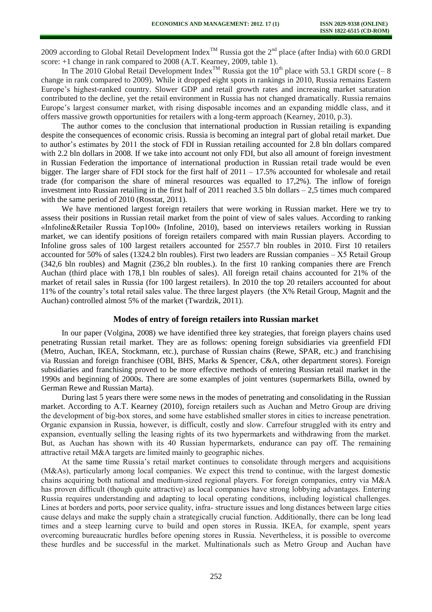2009 according to Global Retail Development Index<sup>TM</sup> Russia got the  $2<sup>nd</sup>$  place (after India) with 60.0 GRDI score: +1 change in rank compared to 2008 (A.T. Kearney, 2009, table 1).

In The 2010 Global Retail Development Index<sup>TM</sup> Russia got the 10<sup>th</sup> place with 53.1 GRDI score  $(-8)$ change in rank compared to 2009). While it dropped eight spots in rankings in 2010, Russia remains Eastern Europe's highest-ranked country. Slower GDP and retail growth rates and increasing market saturation contributed to the decline, yet the retail environment in Russia has not changed dramatically. Russia remains Europe's largest consumer market, with rising disposable incomes and an expanding middle class, and it offers massive growth opportunities for retailers with a long-term approach (Kearney, 2010, p.3).

The author comes to the conclusion that international production in Russian retailing is expanding despite the consequences of economic crisis. Russia is becoming an integral part of global retail market. Due to author's estimates by 2011 the stock of FDI in Russian retailing accounted for 2.8 bln dollars compared with 2.2 bln dollars in 2008. If we take into account not only FDI, but also all amount of foreign investment in Russian Federation the importance of international production in Russian retail trade would be even bigger. The larger share of FDI stock for the first half of 2011 – 17.5% accounted for wholesale and retail trade (for comparison the share of mineral resources was equalled to 17,2%). The inflow of foreign investment into Russian retailing in the first half of 2011 reached 3.5 bln dollars – 2,5 times much compared with the same period of 2010 (Rosstat, 2011).

We have mentioned largest foreign retailers that were working in Russian market. Here we try to assess their positions in Russian retail market from the point of view of sales values. According to ranking «Infoline&Retailer Russia Top100» (Infoline, 2010), based on interviews retailers working in Russian market, we can identify positions of foreign retailers compared with main Russian players. According to Infoline gross sales of 100 largest retailers accounted for 2557.7 bln roubles in 2010. First 10 retailers accounted for 50% of sales (1324.2 bln roubles). First two leaders are Russian companies – Х5 Retail Group (342,6 bln roubles) and Magnit (236,2 bln roubles.). In the first 10 ranking companies there are French Auchan (third place with 178,1 bln roubles of sales). All foreign retail chains accounted for 21% of the market of retail sales in Russia (for 100 largest retailers). In 2010 the top 20 retailers accounted for about 11% of the country's total retail sales value. The three largest players (the X% Retail Group, Magnit and the Auchan) controlled almost 5% of the market (Twardzik, 2011).

### **Modes of entry of foreign retailers into Russian market**

In our paper (Volgina, 2008) we have identified three key strategies, that foreign players chains used penetrating Russian retail market. They are as follows: opening foreign subsidiaries via greenfield FDI (Metro, Auchan, IKEA, Stockmann, etc.), purchase of Russian chains (Rewe, SPAR, etc.) and franchising via Russian and foreign franchisee (OBI, BHS, Marks & Spencer, C&A, other department stores). Foreign subsidiaries and franchising proved to be more effective methods of entering Russian retail market in the 1990s and beginning of 2000s. There are some examples of joint ventures (supermarkets Billa, owned by German Rewe and Russian Marta).

During last 5 years there were some news in the modes of penetrating and consolidating in the Russian market. According to A.T. Kearney (2010), foreign retailers such as Auchan and Metro Group are driving the development of big-box stores, and some have established smaller stores in cities to increase penetration. Organic expansion in Russia, however, is difficult, costly and slow. Carrefour struggled with its entry and expansion, eventually selling the leasing rights of its two hypermarkets and withdrawing from the market. But, as Auchan has shown with its 40 Russian hypermarkets, endurance can pay off. The remaining attractive retail M&A targets are limited mainly to geographic niches.

At the same time Russia's retail market continues to consolidate through mergers and acquisitions (M&As), particularly among local companies. We expect this trend to continue, with the largest domestic chains acquiring both national and medium-sized regional players. For foreign companies, entry via M&A has proven difficult (though quite attractive) as local companies have strong lobbying advantages. Entering Russia requires understanding and adapting to local operating conditions, including logistical challenges. Lines at borders and ports, poor service quality, infra- structure issues and long distances between large cities cause delays and make the supply chain a strategically crucial function. Additionally, there can be long lead times and a steep learning curve to build and open stores in Russia. IKEA, for example, spent years overcoming bureaucratic hurdles before opening stores in Russia. Nevertheless, it is possible to overcome these hurdles and be successful in the market. Multinationals such as Metro Group and Auchan have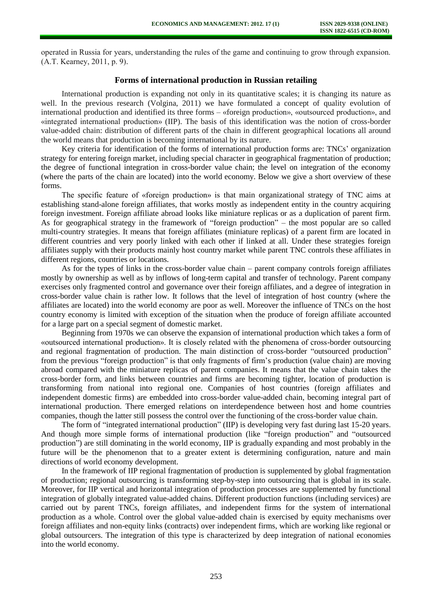operated in Russia for years, understanding the rules of the game and continuing to grow through expansion. (A.T. Kearney, 2011, p. 9).

## **Forms of international production in Russian retailing**

International production is expanding not only in its quantitative scales; it is changing its nature as well. In the previous research (Volgina, 2011) we have formulated a concept of quality evolution of international production and identified its three forms – «foreign production», «outsourced production», and «integrated international production» (IIP). The basis of this identification was the notion of cross-border value-added chain: distribution of different parts of the chain in different geographical locations all around the world means that production is becoming international by its nature.

Key criteria for identification of the forms of international production forms are: TNCs' organization strategy for entering foreign market, including special character in geographical fragmentation of production; the degree of functional integration in cross-border value chain; the level on integration of the economy (where the parts of the chain are located) into the world economy. Below we give a short overview of these forms.

The specific feature of «foreign production» is that main organizational strategy of TNC aims at establishing stand-alone foreign affiliates, that works mostly as independent entity in the country acquiring foreign investment. Foreign affiliate abroad looks like miniature replicas or as a duplication of parent firm. As for geographical strategy in the framework of "foreign production" – the most popular are so called multi-country strategies. It means that foreign affiliates (miniature replicas) of a parent firm are located in different countries and very poorly linked with each other if linked at all. Under these strategies foreign affiliates supply with their products mainly host country market while parent TNC controls these affiliates in different regions, countries or locations.

As for the types of links in the cross-border value chain – parent company controls foreign affiliates mostly by ownership as well as by inflows of long-term capital and transfer of technology. Parent company exercises only fragmented control and governance over their foreign affiliates, and a degree of integration in cross-border value chain is rather low. It follows that the level of integration of host country (where the affiliates are located) into the world economy are poor as well. Moreover the influence of TNCs on the host country economy is limited with exception of the situation when the produce of foreign affiliate accounted for a large part on a special segment of domestic market.

Beginning from 1970s we can observe the expansion of international production which takes a form of «outsourced international production». It is closely related with the phenomena of cross-border outsourcing and regional fragmentation of production. The main distinction of cross-border "outsourced production" from the previous "foreign production" is that only fragments of firm's production (value chain) are moving abroad compared with the miniature replicas of parent companies. It means that the value chain takes the cross-border form, and links between countries and firms are becoming tighter, location of production is transforming from national into regional one. Companies of host countries (foreign affiliates and independent domestic firms) are embedded into cross-border value-added chain, becoming integral part of international production. There emerged relations on interdependence between host and home countries companies, though the latter still possess the control over the functioning of the cross-border value chain.

The form of "integrated international production" (IIP) is developing very fast during last 15-20 years. And though more simple forms of international production (like "foreign production" and "outsourced production") are still dominating in the world economy, IIP is gradually expanding and most probably in the future will be the phenomenon that to a greater extent is determining configuration, nature and main directions of world economy development.

In the framework of IIP regional fragmentation of production is supplemented by global fragmentation of production; regional outsourcing is transforming step-by-step into outsourcing that is global in its scale. Moreover, for IIP vertical and horizontal integration of production processes are supplemented by functional integration of globally integrated value-added chains. Different production functions (including services) are carried out by parent TNCs, foreign affiliates, and independent firms for the system of international production as a whole. Control over the global value-added chain is exercised by equity mechanisms over foreign affiliates and non-equity links (contracts) over independent firms, which are working like regional or global outsourcers. The integration of this type is characterized by deep integration of national economies into the world economy.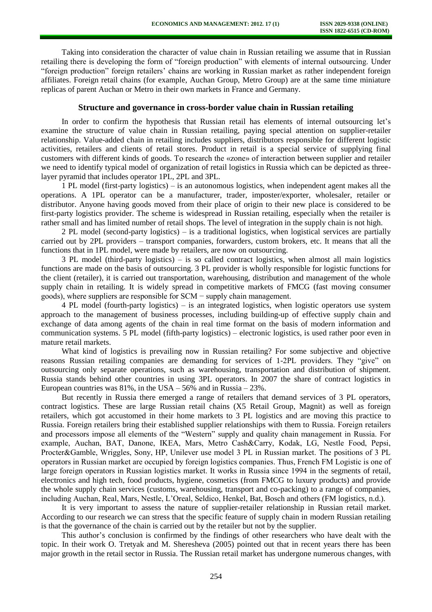Taking into consideration the character of value chain in Russian retailing we assume that in Russian retailing there is developing the form of "foreign production" with elements of internal outsourcing. Under "foreign production" foreign retailers' chains are working in Russian market as rather independent foreign affiliates. Foreign retail chains (for example, Auchan Group, Metro Group) are at the same time miniature replicas of parent Auchan or Metro in their own markets in France and Germany.

### **Structure and governance in cross-border value chain in Russian retailing**

In order to confirm the hypothesis that Russian retail has elements of internal outsourcing let's examine the structure of value chain in Russian retailing, paying special attention on supplier-retailer relationship. Value-added chain in retailing includes suppliers, distributors responsible for different logistic activities, retailers and clients of retail stores. Product in retail is a special service of supplying final customers with different kinds of goods. To research the «zone» of interaction between supplier and retailer we need to identify typical model of organization of retail logistics in Russia which can be depicted as threelayer pyramid that includes operator 1PL, 2PL and 3PL.

1 PL model (first-party logistics) – is an autonomous logistics, when independent agent makes all the operations. A 1PL operator can be a manufacturer, trader, imposter/exporter, wholesaler, retailer or distributor. Anyone having goods moved from their place of origin to their new place is considered to be first-party logistics provider. The scheme is widespread in Russian retailing, especially when the retailer is rather small and has limited number of retail shops. The level of integration in the supply chain is not high.

2 PL model (second-party logistics) – is a traditional logistics, when logistical services are partially carried out by 2PL providers – transport companies, forwarders, custom brokers, etc. It means that all the functions that in 1PL model, were made by retailers, are now on outsourcing.

3 PL model (third-party logistics) – is so called contract logistics, when almost all main logistics functions are made on the basis of outsourcing. 3 PL provider is wholly responsible for logistic functions for the client (retailer), it is carried out transportation, warehousing, distribution and management of the whole supply chain in retailing. It is widely spread in competitive markets of FMCG (fast moving consumer goods), where suppliers are responsible for SCM − supply chain management.

4 PL model (fourth-party logistics) – is an integrated logistics, when logistic operators use system approach to the management of business processes, including building-up of effective supply chain and exchange of data among agents of the chain in real time format on the basis of modern information and communication systems. 5 PL model (fifth-party logistics) – electronic logistics, is used rather poor even in mature retail markets.

What kind of logistics is prevailing now in Russian retailing? For some subjective and objective reasons Russian retailing companies are demanding for services of 1-2PL providers. They "give" on outsourcing only separate operations, such as warehousing, transportation and distribution of shipment. Russia stands behind other countries in using 3PL operators. In 2007 the share of contract logistics in European countries was  $81\%$ , in the USA – 56% and in Russia – 23%.

But recently in Russia there emerged a range of retailers that demand services of 3 PL operators, contract logistics. These are large Russian retail chains (X5 Retail Group, Magnit) as well as foreign retailers, which got accustomed in their home markets to 3 PL logistics and are moving this practice to Russia. Foreign retailers bring their established supplier relationships with them to Russia. Foreign retailers and processors impose all elements of the "Western" supply and quality chain management in Russia. For example, Auchan, BAT, Danone, IKEA, Mars, Metro Cash&Carry, Kodak, LG, Nestle Food, Pepsi, Procter&Gamble, Wriggles, Sony, HP, Unilever use model 3 PL in Russian market. The positions of 3 PL operators in Russian market are occupied by foreign logistics companies. Thus, French FM Logistic is one of large foreign operators in Russian logistics market. It works in Russia since 1994 in the segments of retail, electronics and high tech, food products, hygiene, cosmetics (from FMCG to luxury products) and provide the whole supply chain services (customs, warehousing, transport and co-packing) to a range of companies, including Auchan, Real, Mars, Nestle, L'Oreal, Seldico, Henkel, Bat, Bosch and others (FM logistics, n.d.).

It is very important to assess the nature of supplier-retailer relationship in Russian retail market. According to our research we can stress that the specific feature of supply chain in modern Russian retailing is that the governance of the chain is carried out by the retailer but not by the supplier.

This author's conclusion is confirmed by the findings of other researchers who have dealt with the topic. In their work O. Tretyak and M. Sheresheva (2005) pointed out that in recent years there has been major growth in the retail sector in Russia. The Russian retail market has undergone numerous changes, with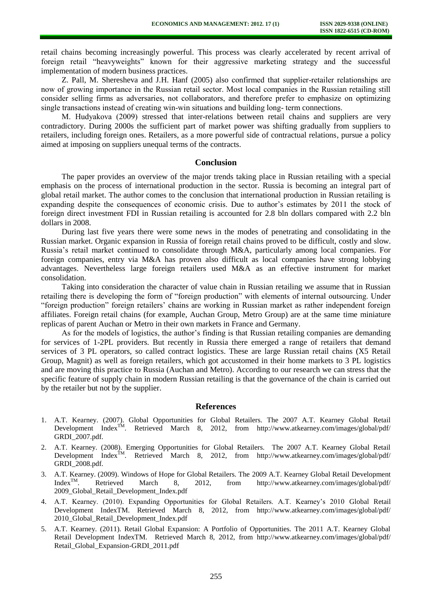retail chains becoming increasingly powerful. This process was clearly accelerated by recent arrival of foreign retail "heavyweights" known for their aggressive marketing strategy and the successful implementation of modern business practices.

Z. Pall, M. Sheresheva and J.H. Hanf (2005) also confirmed that supplier-retailer relationships are now of growing importance in the Russian retail sector. Most local companies in the Russian retailing still consider selling firms as adversaries, not collaborators, and therefore prefer to emphasize on optimizing single transactions instead of creating win-win situations and building long- term connections.

M. Hudyakova (2009) stressed that inter-relations between retail chains and suppliers are very contradictory. During 2000s the sufficient part of market power was shifting gradually from suppliers to retailers, including foreign ones. Retailers, as a more powerful side of contractual relations, pursue a policy aimed at imposing on suppliers unequal terms of the contracts.

#### **Conclusion**

The paper provides an overview of the major trends taking place in Russian retailing with a special emphasis on the process of international production in the sector. Russia is becoming an integral part of global retail market. The author comes to the conclusion that international production in Russian retailing is expanding despite the consequences of economic crisis. Due to author's estimates by 2011 the stock of foreign direct investment FDI in Russian retailing is accounted for 2.8 bln dollars compared with 2.2 bln dollars in 2008.

During last five years there were some news in the modes of penetrating and consolidating in the Russian market. Organic expansion in Russia of foreign retail chains proved to be difficult, costly and slow. Russia's retail market continued to consolidate through M&A, particularly among local companies. For foreign companies, entry via M&A has proven also difficult as local companies have strong lobbying advantages. Nevertheless large foreign retailers used M&A as an effective instrument for market consolidation.

Taking into consideration the character of value chain in Russian retailing we assume that in Russian retailing there is developing the form of "foreign production" with elements of internal outsourcing. Under "foreign production" foreign retailers' chains are working in Russian market as rather independent foreign affiliates. Foreign retail chains (for example, Auchan Group, Metro Group) are at the same time miniature replicas of parent Auchan or Metro in their own markets in France and Germany.

As for the models of logistics, the author's finding is that Russian retailing companies are demanding for services of 1-2PL providers. But recently in Russia there emerged a range of retailers that demand services of 3 PL operators, so called contract logistics. These are large Russian retail chains (X5 Retail Group, Magnit) as well as foreign retailers, which got accustomed in their home markets to 3 PL logistics and are moving this practice to Russia (Auchan and Metro). According to our research we can stress that the specific feature of supply chain in modern Russian retailing is that the governance of the chain is carried out by the retailer but not by the supplier.

### **References**

- 1. A.T. Kearney. (2007). Global Opportunities for Global Retailers. The 2007 A.T. Kearney Global Retail Development Index<sup>TM</sup>. Retrieved March 8, 2012, from http://www.atkearney.com/images/global/pdf/ GRDI\_2007.pdf.
- 2. A.T. Kearney. (2008). Emerging Opportunities for Global Retailers. The 2007 A.T. Kearney Global Retail Development Index<sup>TM</sup>. Retrieved March 8, 2012, from http://www.atkearney.com/images/global/pdf/ GRDI\_2008.pdf.
- 3. A.T. Kearney. (2009). Windows of Hope for Global Retailers. The 2009 A.T. Kearney Global Retail Development<br>Index<sup>TM</sup>. Retrieved March 8. 2012. from http://www.atkearney.com/images/global/pdf/ Retrieved March 8, 2012, from http://www.atkearney.com/images/global/pdf/ 2009\_Global\_Retail\_Development\_Index.pdf
- 4. A.T. Kearney. (2010). Expanding Opportunities for Global Retailers. A.T. Kearney's 2010 Global Retail Development IndexTM. Retrieved March 8, 2012, from http://www.atkearney.com/images/global/pdf/ 2010\_Global\_Retail\_Development\_Index.pdf
- 5. A.T. Kearney. (2011). Retail Global Expansion: A Portfolio of Opportunities. The 2011 A.T. Kearney Global Retail Development IndexTM. Retrieved March 8, 2012, from http://www.atkearney.com/images/global/pdf/ Retail Global Expansion-GRDI 2011.pdf